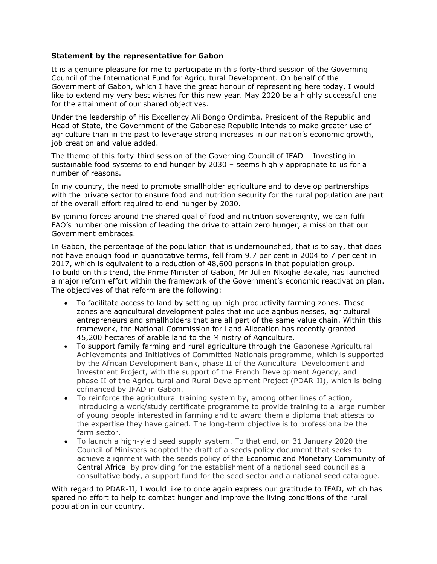## **Statement by the representative for Gabon**

It is a genuine pleasure for me to participate in this forty-third session of the Governing Council of the International Fund for Agricultural Development. On behalf of the Government of Gabon, which I have the great honour of representing here today, I would like to extend my very best wishes for this new year. May 2020 be a highly successful one for the attainment of our shared objectives.

Under the leadership of His Excellency Ali Bongo Ondimba, President of the Republic and Head of State, the Government of the Gabonese Republic intends to make greater use of agriculture than in the past to leverage strong increases in our nation's economic growth, job creation and value added.

The theme of this forty-third session of the Governing Council of IFAD – Investing in sustainable food systems to end hunger by 2030 – seems highly appropriate to us for a number of reasons.

In my country, the need to promote smallholder agriculture and to develop partnerships with the private sector to ensure food and nutrition security for the rural population are part of the overall effort required to end hunger by 2030.

By joining forces around the shared goal of food and nutrition sovereignty, we can fulfil FAO's number one mission of leading the drive to attain zero hunger, a mission that our Government embraces.

In Gabon, the percentage of the population that is undernourished, that is to say, that does not have enough food in quantitative terms, fell from 9.7 per cent in 2004 to 7 per cent in 2017, which is equivalent to a reduction of 48,600 persons in that population group. To build on this trend, the Prime Minister of Gabon, Mr Julien Nkoghe Bekale, has launched a major reform effort within the framework of the Government's economic reactivation plan. The objectives of that reform are the following:

- To facilitate access to land by setting up high-productivity farming zones. These zones are agricultural development poles that include agribusinesses, agricultural entrepreneurs and smallholders that are all part of the same value chain. Within this framework, the National Commission for Land Allocation has recently granted 45,200 hectares of arable land to the Ministry of Agriculture.
- To support family farming and rural agriculture through the Gabonese Agricultural Achievements and Initiatives of Committed Nationals programme, which is supported by the African Development Bank, phase II of the Agricultural Development and Investment Project, with the support of the French Development Agency, and phase II of the Agricultural and Rural Development Project (PDAR-II), which is being cofinanced by IFAD in Gabon.
- To reinforce the agricultural training system by, among other lines of action, introducing a work/study certificate programme to provide training to a large number of young people interested in farming and to award them a diploma that attests to the expertise they have gained. The long-term objective is to professionalize the farm sector.
- To launch a high-yield seed supply system. To that end, on 31 January 2020 the Council of Ministers adopted the draft of a seeds policy document that seeks to achieve alignment with the seeds policy of the Economic and Monetary Community of Central Africa by providing for the establishment of a national seed council as a consultative body, a support fund for the seed sector and a national seed catalogue.

With regard to PDAR-II, I would like to once again express our gratitude to IFAD, which has spared no effort to help to combat hunger and improve the living conditions of the rural population in our country.